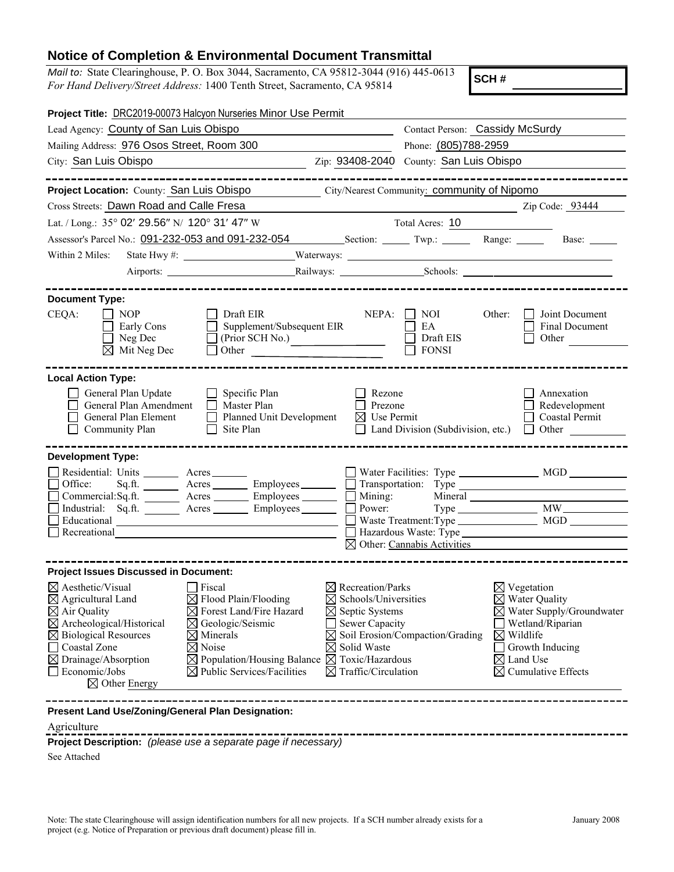## **Notice of Completion & Environmental Document Transmittal**

*Mail to:* State Clearinghouse, P. O. Box 3044, Sacramento, CA 95812-3044 (916) 445-0613 *For Hand Delivery/Street Address:* 1400 Tenth Street, Sacramento, CA 95814

**SCH #**

|                                                                                                                                                                                                                                                                             | Project Title: DRC2019-00073 Halcyon Nurseries Minor Use Permit                                                                                                                                                                                                                                   |                                                                                                                                                                                                                              |                                                                                                                      |                                                                        |                                                                                                                                            |
|-----------------------------------------------------------------------------------------------------------------------------------------------------------------------------------------------------------------------------------------------------------------------------|---------------------------------------------------------------------------------------------------------------------------------------------------------------------------------------------------------------------------------------------------------------------------------------------------|------------------------------------------------------------------------------------------------------------------------------------------------------------------------------------------------------------------------------|----------------------------------------------------------------------------------------------------------------------|------------------------------------------------------------------------|--------------------------------------------------------------------------------------------------------------------------------------------|
| Lead Agency: County of San Luis Obispo                                                                                                                                                                                                                                      | Contact Person: Cassidy McSurdy                                                                                                                                                                                                                                                                   |                                                                                                                                                                                                                              |                                                                                                                      |                                                                        |                                                                                                                                            |
| Mailing Address: 976 Osos Street, Room 300                                                                                                                                                                                                                                  | Phone: (805)788-2959                                                                                                                                                                                                                                                                              |                                                                                                                                                                                                                              |                                                                                                                      |                                                                        |                                                                                                                                            |
| City: San Luis Obispo                                                                                                                                                                                                                                                       |                                                                                                                                                                                                                                                                                                   | Zip: 93408-2040 County: San Luis Obispo                                                                                                                                                                                      |                                                                                                                      |                                                                        |                                                                                                                                            |
| Project Location: County: San Luis Obispo                                                                                                                                                                                                                                   |                                                                                                                                                                                                                                                                                                   |                                                                                                                                                                                                                              | City/Nearest Community: <b>Community of Nipomo</b>                                                                   |                                                                        |                                                                                                                                            |
| Cross Streets: Dawn Road and Calle Fresa                                                                                                                                                                                                                                    |                                                                                                                                                                                                                                                                                                   |                                                                                                                                                                                                                              | <u> 1990 - Johann John Harry Harry Harry Harry Harry Harry Harry Harry Harry Harry Harry Harry Harry Harry Harry</u> |                                                                        | Zip Code: 93444                                                                                                                            |
| Lat. / Long.: 35° 02' 29.56" N/ 120° 31' 47" W                                                                                                                                                                                                                              |                                                                                                                                                                                                                                                                                                   |                                                                                                                                                                                                                              | Total Acres: 10                                                                                                      |                                                                        |                                                                                                                                            |
|                                                                                                                                                                                                                                                                             | Assessor's Parcel No.: 091-232-053 and 091-232-054 Section: Twp.: Twp.: Range: Base: Base:                                                                                                                                                                                                        |                                                                                                                                                                                                                              |                                                                                                                      |                                                                        |                                                                                                                                            |
| Within 2 Miles:                                                                                                                                                                                                                                                             |                                                                                                                                                                                                                                                                                                   |                                                                                                                                                                                                                              |                                                                                                                      |                                                                        |                                                                                                                                            |
|                                                                                                                                                                                                                                                                             |                                                                                                                                                                                                                                                                                                   |                                                                                                                                                                                                                              |                                                                                                                      |                                                                        |                                                                                                                                            |
| <b>Document Type:</b>                                                                                                                                                                                                                                                       | ______________________                                                                                                                                                                                                                                                                            |                                                                                                                                                                                                                              |                                                                                                                      |                                                                        |                                                                                                                                            |
| CEQA:<br><b>NOP</b><br>Early Cons<br>$\Box$ Neg Dec<br>$\boxtimes$ Mit Neg Dec                                                                                                                                                                                              | Draft EIR<br>Supplement/Subsequent EIR<br>(Prior SCH No.)<br>Other <u>January and the series of the series of the series of the series of the series of the series of the series of the series of the series of the series of the series of the series of the series of the series of the ser</u> | NEPA:                                                                                                                                                                                                                        | NOI<br>EA<br>Draft EIS<br><b>FONSI</b>                                                                               | Other:                                                                 | Joint Document<br>Final Document<br>Other                                                                                                  |
| <b>Local Action Type:</b><br>General Plan Update<br>General Plan Amendment<br>General Plan Element<br>Community Plan                                                                                                                                                        | $\Box$ Specific Plan<br>$\Box$<br>Master Plan<br>Planned Unit Development<br>$\perp$<br>Site Plan                                                                                                                                                                                                 | Rezone<br>Prezone<br>$\boxtimes$ Use Permit<br>$\perp$                                                                                                                                                                       | Land Division (Subdivision, etc.)                                                                                    |                                                                        | Annexation<br>Redevelopment<br>$\Box$ Coastal Permit<br>$\Box$ Other                                                                       |
| <b>Development Type:</b><br>Residential: Units ________ Acres _______<br>Office:<br>Recreational                                                                                                                                                                            | Sq.ft. __________ Acres __________ Employees ________<br>Commercial:Sq.ft. Acres _______ Employees ______<br>Industrial: Sq.ft. _______ Acres ________ Employees ________ $\square$                                                                                                               | $\mathbf{L}$                                                                                                                                                                                                                 | $\boxtimes$ Other: Cannabis Activities                                                                               |                                                                        | Power: Type MW                                                                                                                             |
| <b>Project Issues Discussed in Document:</b>                                                                                                                                                                                                                                |                                                                                                                                                                                                                                                                                                   |                                                                                                                                                                                                                              |                                                                                                                      |                                                                        |                                                                                                                                            |
| $\boxtimes$ Aesthetic/Visual<br>$\boxtimes$ Agricultural Land<br>$\boxtimes$ Air Quality<br>$\boxtimes$ Archeological/Historical<br>$\boxtimes$ Biological Resources<br>Coastal Zone<br>$\boxtimes$ Drainage/Absorption<br>$\Box$ Economic/Jobs<br>$\boxtimes$ Other Energy | $\Box$ Fiscal<br>$\boxtimes$ Flood Plain/Flooding<br>$\boxtimes$ Forest Land/Fire Hazard<br>$\boxtimes$ Geologic/Seismic<br>$\boxtimes$ Minerals<br>$\boxtimes$ Noise<br>$\boxtimes$ Population/Housing Balance<br>$\boxtimes$ Public Services/Facilities                                         | $\boxtimes$ Recreation/Parks<br>$\boxtimes$ Schools/Universities<br>$\boxtimes$ Septic Systems<br>Sewer Capacity<br>$\boxtimes$<br>$\boxtimes$ Solid Waste<br>$\boxtimes$ Toxic/Hazardous<br>$\boxtimes$ Traffic/Circulation | Soil Erosion/Compaction/Grading                                                                                      | $\boxtimes$ Vegetation<br>$\boxtimes$ Wildlife<br>$\boxtimes$ Land Use | $\boxtimes$ Water Quality<br>$\boxtimes$ Water Supply/Groundwater<br>Wetland/Riparian<br>Growth Inducing<br>$\boxtimes$ Cumulative Effects |
| Present Land Use/Zoning/General Plan Designation:                                                                                                                                                                                                                           |                                                                                                                                                                                                                                                                                                   |                                                                                                                                                                                                                              |                                                                                                                      |                                                                        |                                                                                                                                            |

Agriculture

**Project Description:** *(please use a separate page if necessary)*

---

See Attached

---------------------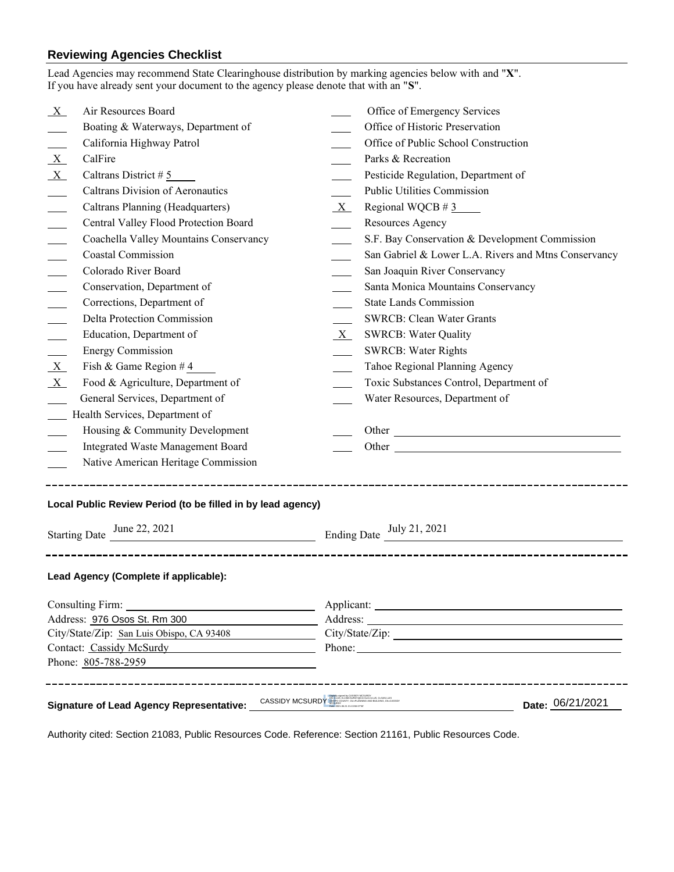## **Reviewing Agencies Checklist**<br>Lead Agencies may recommend State Clearing

|                                                                                                                                                                                      | Lead Agencies may recommend State Clearinghouse distribution by marking agencies below with and "X".<br>If you have already sent your document to the agency please denote that with an "S". |         |                                                                                                                                                                                                                                |                  |  |
|--------------------------------------------------------------------------------------------------------------------------------------------------------------------------------------|----------------------------------------------------------------------------------------------------------------------------------------------------------------------------------------------|---------|--------------------------------------------------------------------------------------------------------------------------------------------------------------------------------------------------------------------------------|------------------|--|
| $X_{-}$                                                                                                                                                                              | Air Resources Board                                                                                                                                                                          |         | Office of Emergency Services                                                                                                                                                                                                   |                  |  |
|                                                                                                                                                                                      | Boating & Waterways, Department of                                                                                                                                                           |         | Office of Historic Preservation                                                                                                                                                                                                |                  |  |
|                                                                                                                                                                                      | California Highway Patrol                                                                                                                                                                    |         | Office of Public School Construction                                                                                                                                                                                           |                  |  |
| $\mathbf{X}$                                                                                                                                                                         | CalFire                                                                                                                                                                                      |         | Parks & Recreation                                                                                                                                                                                                             |                  |  |
| X                                                                                                                                                                                    | Caltrans District #5                                                                                                                                                                         |         | Pesticide Regulation, Department of                                                                                                                                                                                            |                  |  |
|                                                                                                                                                                                      | <b>Caltrans Division of Aeronautics</b>                                                                                                                                                      |         | Public Utilities Commission                                                                                                                                                                                                    |                  |  |
|                                                                                                                                                                                      | Caltrans Planning (Headquarters)                                                                                                                                                             | $X_{-}$ | Regional WQCB # $3$                                                                                                                                                                                                            |                  |  |
|                                                                                                                                                                                      | Central Valley Flood Protection Board                                                                                                                                                        |         | Resources Agency                                                                                                                                                                                                               |                  |  |
|                                                                                                                                                                                      | Coachella Valley Mountains Conservancy                                                                                                                                                       |         | S.F. Bay Conservation & Development Commission                                                                                                                                                                                 |                  |  |
|                                                                                                                                                                                      | <b>Coastal Commission</b>                                                                                                                                                                    |         | San Gabriel & Lower L.A. Rivers and Mtns Conservancy                                                                                                                                                                           |                  |  |
|                                                                                                                                                                                      | Colorado River Board                                                                                                                                                                         |         | San Joaquin River Conservancy                                                                                                                                                                                                  |                  |  |
|                                                                                                                                                                                      | Conservation, Department of                                                                                                                                                                  |         | Santa Monica Mountains Conservancy                                                                                                                                                                                             |                  |  |
|                                                                                                                                                                                      | Corrections, Department of                                                                                                                                                                   |         | <b>State Lands Commission</b>                                                                                                                                                                                                  |                  |  |
|                                                                                                                                                                                      | Delta Protection Commission                                                                                                                                                                  |         | <b>SWRCB: Clean Water Grants</b>                                                                                                                                                                                               |                  |  |
|                                                                                                                                                                                      | Education, Department of                                                                                                                                                                     | $X_{-}$ | <b>SWRCB: Water Quality</b>                                                                                                                                                                                                    |                  |  |
|                                                                                                                                                                                      | <b>Energy Commission</b>                                                                                                                                                                     |         | <b>SWRCB: Water Rights</b>                                                                                                                                                                                                     |                  |  |
| X                                                                                                                                                                                    | Fish & Game Region #4                                                                                                                                                                        |         | Tahoe Regional Planning Agency                                                                                                                                                                                                 |                  |  |
| $X_{-}$                                                                                                                                                                              | Food & Agriculture, Department of                                                                                                                                                            |         | Toxic Substances Control, Department of                                                                                                                                                                                        |                  |  |
|                                                                                                                                                                                      | General Services, Department of                                                                                                                                                              |         | Water Resources, Department of                                                                                                                                                                                                 |                  |  |
| Health Services, Department of                                                                                                                                                       |                                                                                                                                                                                              |         |                                                                                                                                                                                                                                |                  |  |
|                                                                                                                                                                                      | Housing & Community Development                                                                                                                                                              |         |                                                                                                                                                                                                                                |                  |  |
|                                                                                                                                                                                      | Integrated Waste Management Board                                                                                                                                                            |         |                                                                                                                                                                                                                                |                  |  |
|                                                                                                                                                                                      | Native American Heritage Commission                                                                                                                                                          |         |                                                                                                                                                                                                                                |                  |  |
| Local Public Review Period (to be filled in by lead agency)<br>Ending Date $\underline{\text{July 21, 2021}}$<br>Starting Date $\frac{\text{June } 22, 2021}{\text{Line } 22, 2021}$ |                                                                                                                                                                                              |         |                                                                                                                                                                                                                                |                  |  |
|                                                                                                                                                                                      | Lead Agency (Complete if applicable):                                                                                                                                                        |         |                                                                                                                                                                                                                                |                  |  |
| Consulting Firm:<br><u> 1980 - Johann Barn, mars ann an t-Amhain Aonaich an t-Aonaich an t-Aonaich ann an t-Aonaich ann an t-Aonaich</u>                                             |                                                                                                                                                                                              |         |                                                                                                                                                                                                                                |                  |  |
| Address: 976 Osos St. Rm 300                                                                                                                                                         |                                                                                                                                                                                              |         | Address: The Community of the Community of the Community of the Community of the Community of the Community of the Community of the Community of the Community of the Community of the Community of the Community of the Commu |                  |  |
| City/State/Zip: San Luis Obispo, CA 93408                                                                                                                                            |                                                                                                                                                                                              |         |                                                                                                                                                                                                                                |                  |  |
| Contact: Cassidy McSurdy                                                                                                                                                             |                                                                                                                                                                                              |         | Phone: 2008 and 2008 and 2008 and 2008 and 2008 and 2008 and 2008 and 2008 and 2008 and 2008 and 2008 and 2008 and 2008 and 2008 and 2008 and 2008 and 2008 and 2008 and 2008 and 2008 and 2008 and 2008 and 2008 and 2008 and |                  |  |
| Phone: 805-788-2959                                                                                                                                                                  |                                                                                                                                                                                              |         |                                                                                                                                                                                                                                |                  |  |
|                                                                                                                                                                                      | Signature of Lead Agency Representative: CASSIDY MCSURDY                                                                                                                                     |         |                                                                                                                                                                                                                                | Date: 06/21/2021 |  |

Authority cited: Section 21083, Public Resources Code. Reference: Section 21161, Public Resources Code.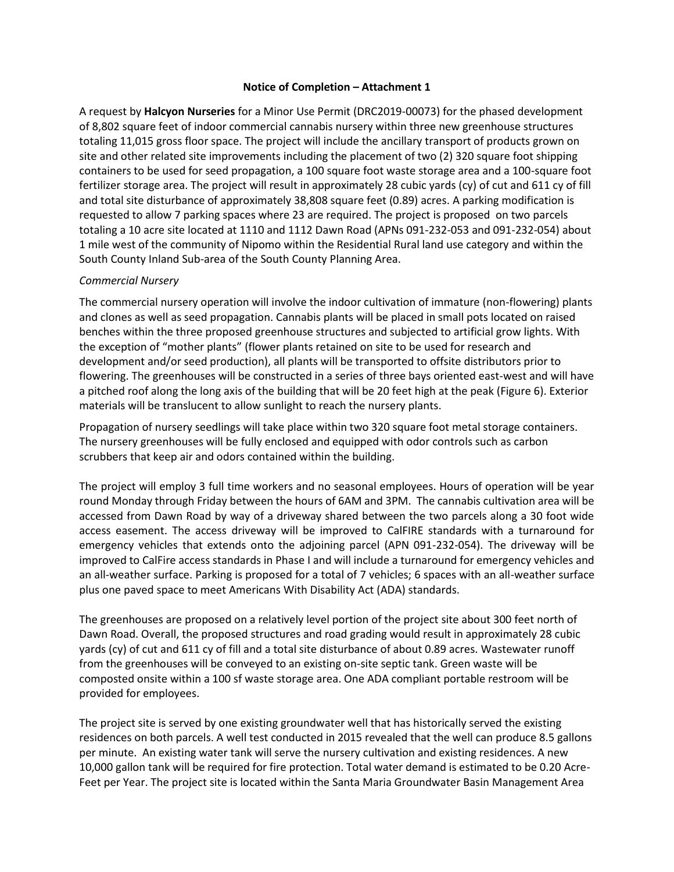## **Notice of Completion – Attachment 1**

A request by **Halcyon Nurseries** for a Minor Use Permit (DRC2019-00073) for the phased development of 8,802 square feet of indoor commercial cannabis nursery within three new greenhouse structures totaling 11,015 gross floor space. The project will include the ancillary transport of products grown on site and other related site improvements including the placement of two (2) 320 square foot shipping containers to be used for seed propagation, a 100 square foot waste storage area and a 100-square foot fertilizer storage area. The project will result in approximately 28 cubic yards (cy) of cut and 611 cy of fill and total site disturbance of approximately 38,808 square feet (0.89) acres. A parking modification is requested to allow 7 parking spaces where 23 are required. The project is proposed on two parcels totaling a 10 acre site located at 1110 and 1112 Dawn Road (APNs 091-232-053 and 091-232-054) about 1 mile west of the community of Nipomo within the Residential Rural land use category and within the South County Inland Sub-area of the South County Planning Area.

## *Commercial Nursery*

The commercial nursery operation will involve the indoor cultivation of immature (non-flowering) plants and clones as well as seed propagation. Cannabis plants will be placed in small pots located on raised benches within the three proposed greenhouse structures and subjected to artificial grow lights. With the exception of "mother plants" (flower plants retained on site to be used for research and development and/or seed production), all plants will be transported to offsite distributors prior to flowering. The greenhouses will be constructed in a series of three bays oriented east-west and will have a pitched roof along the long axis of the building that will be 20 feet high at the peak (Figure 6). Exterior materials will be translucent to allow sunlight to reach the nursery plants.

Propagation of nursery seedlings will take place within two 320 square foot metal storage containers. The nursery greenhouses will be fully enclosed and equipped with odor controls such as carbon scrubbers that keep air and odors contained within the building.

The project will employ 3 full time workers and no seasonal employees. Hours of operation will be year round Monday through Friday between the hours of 6AM and 3PM. The cannabis cultivation area will be accessed from Dawn Road by way of a driveway shared between the two parcels along a 30 foot wide access easement. The access driveway will be improved to CalFIRE standards with a turnaround for emergency vehicles that extends onto the adjoining parcel (APN 091-232-054). The driveway will be improved to CalFire access standards in Phase I and will include a turnaround for emergency vehicles and an all-weather surface. Parking is proposed for a total of 7 vehicles; 6 spaces with an all-weather surface plus one paved space to meet Americans With Disability Act (ADA) standards.

The greenhouses are proposed on a relatively level portion of the project site about 300 feet north of Dawn Road. Overall, the proposed structures and road grading would result in approximately 28 cubic yards (cy) of cut and 611 cy of fill and a total site disturbance of about 0.89 acres. Wastewater runoff from the greenhouses will be conveyed to an existing on-site septic tank. Green waste will be composted onsite within a 100 sf waste storage area. One ADA compliant portable restroom will be provided for employees.

The project site is served by one existing groundwater well that has historically served the existing residences on both parcels. A well test conducted in 2015 revealed that the well can produce 8.5 gallons per minute. An existing water tank will serve the nursery cultivation and existing residences. A new 10,000 gallon tank will be required for fire protection. Total water demand is estimated to be 0.20 Acre-Feet per Year. The project site is located within the Santa Maria Groundwater Basin Management Area